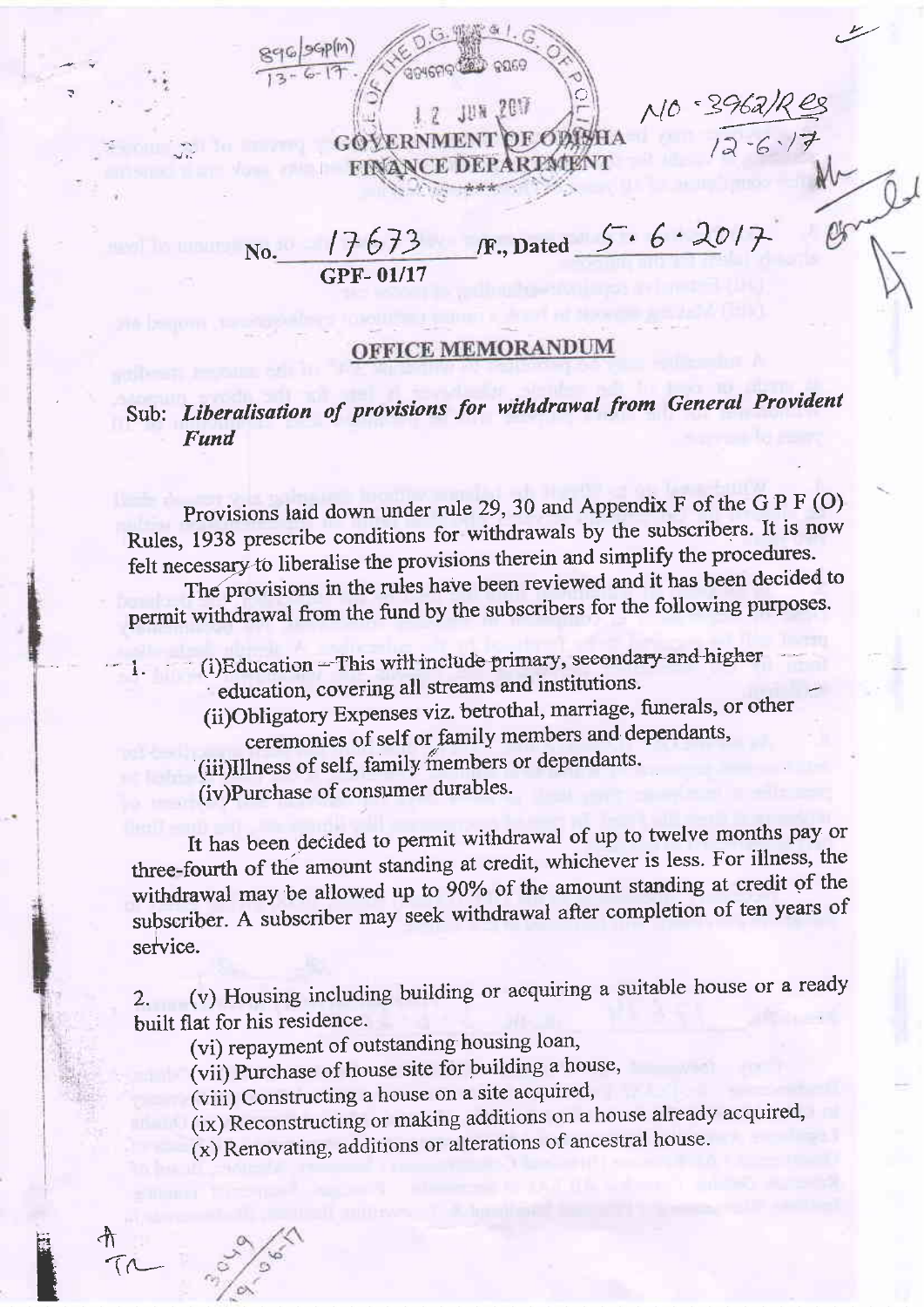$10 - 3962$ JUN 2017  $12 - 6 \cdot 17$ **ERNMENT FINANCE DEPARTMENT**  $/F.,$  Dated  $5.6.2017$  $17673$ No. **GPF-01/17** 

## **OFFICE MEMORANDUM**

## Sub: Liberalisation of provisions for withdrawal from General Provident Fund

Provisions laid down under rule 29, 30 and Appendix F of the G P F (O) Rules, 1938 prescribe conditions for withdrawals by the subscribers. It is now felt necessary to liberalise the provisions therein and simplify the procedures.

The provisions in the rules have been reviewed and it has been decided to permit withdrawal from the fund by the subscribers for the following purposes.

(i)Education - This will include primary, secondary and higher education, covering all streams and institutions.

(ii)Obligatory Expenses viz. betrothal, marriage, funerals, or other ceremonies of self or family members and dependants,

(iii)Illness of self, family members or dependants.

(iv)Purchase of consumer durables.

It has been decided to permit withdrawal of up to twelve months pay or three-fourth of the amount standing at credit, whichever is less. For illness, the withdrawal may be allowed up to 90% of the amount standing at credit of the subscriber. A subscriber may seek withdrawal after completion of ten years of service.

(v) Housing including building or acquiring a suitable house or a ready  $2.$ built flat for his residence.

(vi) repayment of outstanding housing loan,

(vii) Purchase of house site for building a house,

(viii) Constructing a house on a site acquired,

(ix) Reconstructing or making additions on a house already acquired,

(x) Renovating, additions or alterations of ancestral house.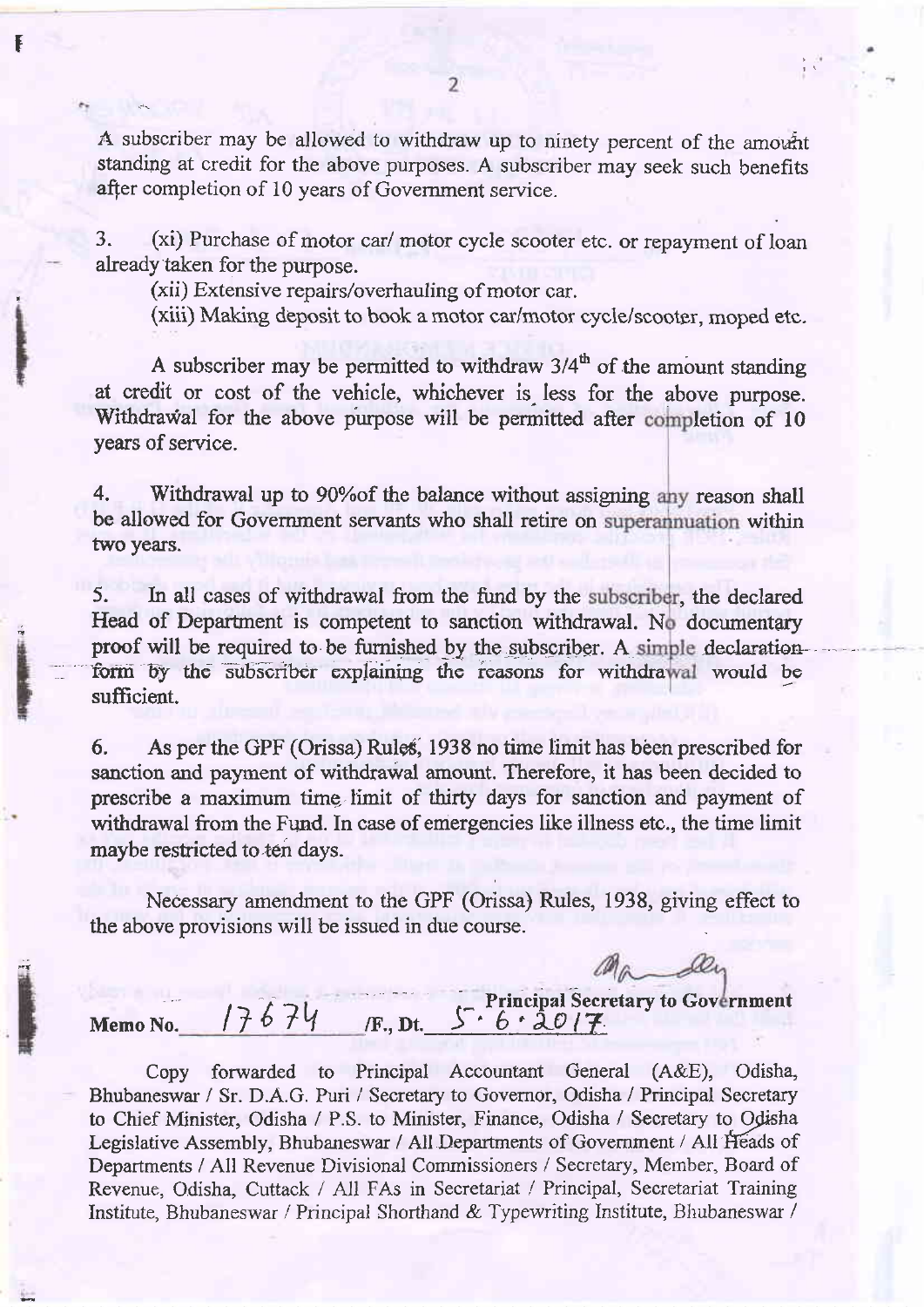A subscriber may be allowed to withdraw up to ninety percent of the amount standing at credit for the above purposes. A subscriber may seek such benefits after completion of 10 years of Government service.

3. (xi) Purchase of motor car/ motor cycle scooter etc. or repayment of loan already taken for the purpose.

(xii) Extensive repairs/overhauling of motor car.

f

(xiii) Making deposit to book a motor car/motor cycie/scooter, moped etc.

A subscriber may be permitted to withdraw  $3/4^{\text{th}}$  of the amount standing at credit or cost of the vehicle, whichever is less for the above purpose. Withdrawal for the above purpose will be permitted after completion of 10 years of service.

4. Withdrawal up to 90% of the balance without assigning any reason shall be allowed for Government servants who shall retire on superannuation within two years.

proof will be required to be furnished by the subscriber. A simple declaration form by the subscriber explaining the reasons for withdrawal would be 5. In all cases of withdrawal from the fund by the subscriber, the declared Head of Department is competent to sanction withdrawal. No documentary sufficient.

6. As per the GPF (Orissa) Rules, 1938 no time limit has been prescribed for sanction and payment of withdrawal amount. Therefore, it has been decided to prescribe a maximum time limit of thirty days for sanction and payment of withdrawal from the Fund. In case of emergencies like illness etc., the time limit maybe restricted to ten days.

Necessary amendment to the GPF (Orissa) Rules, 1938, giving effect to the above provisions will be issued in due course.

## Memo No.  $17674$  F., Dt.  $562017$ . Principal Secretary to Government Coversion Coversion Coversion Coversion Coversion Coversion Coversion Coversion Coversion Coversion Coversion Coversion Coversion Coversion Coversion Coversion Coversion Coversion Coversi

Copy forwarded to Principal Accountant General (A&E), Odisha, Bhubaneswar / Sr. D.A.G. Puri / Secretary to Govemor, Odisha / Principal Secretary to Chief Minister, Odisha / P.S. to Minister, Finance, Odisha / Secretary to Odisha Legislative Assembly, Bhubaneswar / All Departments of Government / All Heads of Departments / All Revenue Divisional Commissioners / Secretary, Member, Board of Revenue, Odisha, Cuttack / All FAs in Secretariat / Principal, Secretariat Training Institute, Bhubaneswar / Principal Shorthand & Typewriting Institute, Bhubaneswar /